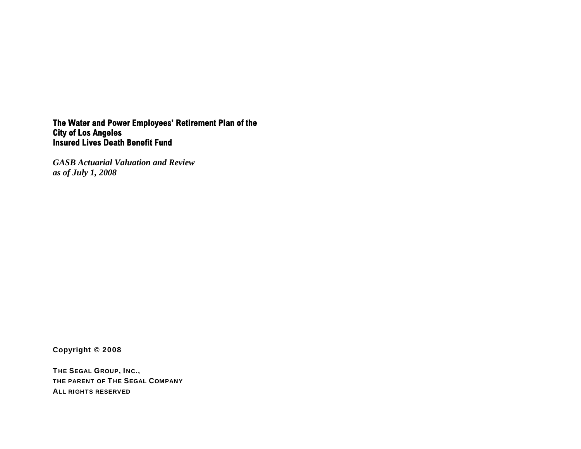# **The Water and Power Employees' Retirement Plan of the City of Los Angeles Insured Lives Death Benefit Fund**

*GASB Actuarial Valuation and Review as of July 1, 2008* 

Copyright © 2008

THE SEGAL GROUP, INC., THE PARENT OF THE SEGAL COMPANY ALL RIGHTS RESERVED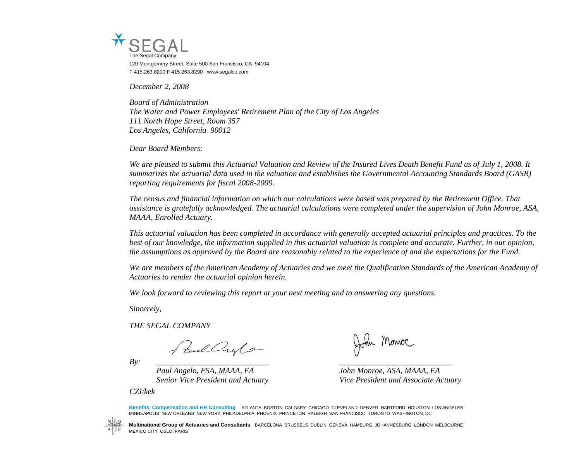

*December 2, 2008* 

*Board of Administration The Water and Power Employees' Retirement Plan of the City of Los Angeles 111 North Hope Street, Room 357 Los Angeles, California 90012* 

*Dear Board Members:* 

*We are pleased to submit this Actuarial Valuation and Review of the Insured Lives Death Benefit Fund as of July 1, 2008. It summarizes the actuarial data used in the valuation and establishes the Governmental Accounting Standards Board (GASB) reporting requirements for fiscal 2008-2009.* 

*The census and financial information on which our calculations were based was prepared by the Retirement Office. That assistance is gratefully acknowledged. The actuarial calculations were completed under the supervision of John Monroe, ASA, MAAA, Enrolled Actuary.* 

*This actuarial valuation has been completed in accordance with generally accepted actuarial principles and practices. To the best of our knowledge, the information supplied in this actuarial valuation is complete and accurate. Further, in our opinion, the assumptions as approved by the Board are reasonably related to the experience of and the expectations for the Fund.* 

We are members of the American Academy of Actuaries and we meet the Qualification Standards of the American Academy of *Actuaries to render the actuarial opinion herein.* 

*We look forward to reviewing this report at your next meeting and to answering any questions.* 

*Sincerely,* 

*THE SEGAL COMPANY* 

Juil Crylo

*By: \_\_\_\_\_\_\_\_\_\_\_\_\_\_\_\_\_\_\_\_\_\_\_\_\_\_\_\_ \_\_\_\_\_\_\_\_\_\_\_\_\_\_\_\_\_\_\_\_\_\_\_\_\_\_\_\_* 

*Paul Angelo, FSA, MAAA, EA John Monroe, ASA, MAAA, EA* 

*CZI/kek*

John Monroe

*Senior Vice President and Actuary Vice President and Associate Actuary* 

**Benefits, Compensation and HR Consulting** ATLANTA BOSTON CALGARY CHICAGO CLEVELAND DENVER HARTFORD HOUSTON LOS ANGELES MINNEAPOLIS NEW ORLEANS NEW YORK PHILADELPHIA PHOENIX PRINCETON RALEIGH SAN FRANCISCO TORONTO WASHINGTON, DC



**Multinational Group of Actuaries and Consultants** BARCELONA BRUSSELS DUBLIN GENEVA HAMBURG JOHANNESBURG LONDON MELBOURNE MEXICO CITY OSLO PARIS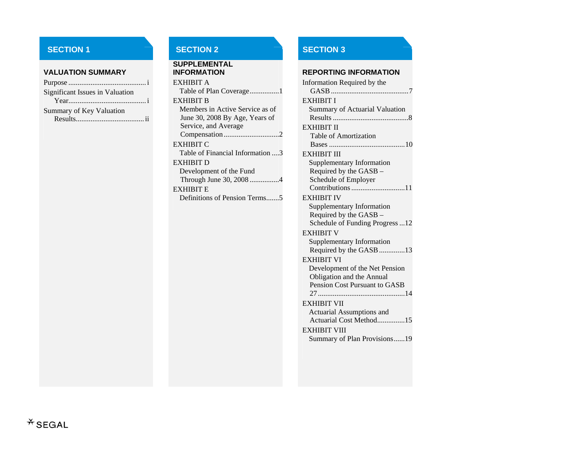#### **VALUATION SUMMARY**

| <b>Significant Issues in Valuation</b> |  |
|----------------------------------------|--|
|                                        |  |
| <b>Summary of Key Valuation</b>        |  |
|                                        |  |

# **SECTION 1** SECTION 2 SECTION 3

# **SUPPLEMENTAL INFORMATION REPORTING INFORMATION**  EXHIBIT ATable of Plan Coverage................1 EXHIBIT B Members in Active Service as of June 30, 2008 By Age, Years of Service, and Average Compensation ..............................2 EXHIBIT C Table of Financial Information ....3 EXHIBIT DDevelopment of the Fund Through June 30, 2008 ................4 EXHIBIT E Definitions of Pension Terms.......5

| Information Required by the                |
|--------------------------------------------|
| <b>EXHIBIT I</b>                           |
| <b>Summary of Actuarial Valuation</b>      |
|                                            |
| EXHIBIT II<br><b>Table of Amortization</b> |
|                                            |
| EXHIBIT III                                |
| <b>Supplementary Information</b>           |
| Required by the GASB -                     |
| Schedule of Employer                       |
|                                            |
| <b>EXHIBIT IV</b>                          |
| <b>Supplementary Information</b>           |
| Required by the GASB -                     |
| Schedule of Funding Progress12             |
| <b>EXHIBIT V</b>                           |
| Supplementary Information                  |
| Required by the GASB 13                    |
| <b>EXHIBIT VI</b>                          |
| Development of the Net Pension             |
| Obligation and the Annual                  |
| Pension Cost Pursuant to GASB              |
| 27                                         |
| <b>EXHIBIT VII</b>                         |
| <b>Actuarial Assumptions and</b>           |
| Actuarial Cost Method15                    |
| EXHIBIT VIII                               |
| Summary of Plan Provisions19               |
|                                            |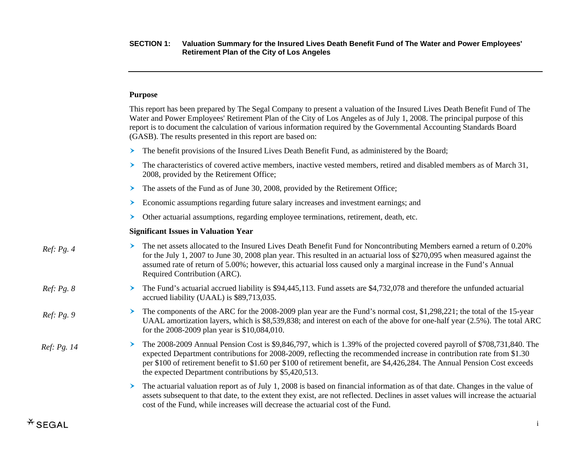# **Purpose**

|             | This report has been prepared by The Segal Company to present a valuation of the Insured Lives Death Benefit Fund of The<br>Water and Power Employees' Retirement Plan of the City of Los Angeles as of July 1, 2008. The principal purpose of this<br>report is to document the calculation of various information required by the Governmental Accounting Standards Board<br>(GASB). The results presented in this report are based on:     |
|-------------|-----------------------------------------------------------------------------------------------------------------------------------------------------------------------------------------------------------------------------------------------------------------------------------------------------------------------------------------------------------------------------------------------------------------------------------------------|
|             | The benefit provisions of the Insured Lives Death Benefit Fund, as administered by the Board;<br>≻                                                                                                                                                                                                                                                                                                                                            |
|             | The characteristics of covered active members, inactive vested members, retired and disabled members as of March 31,<br>➤<br>2008, provided by the Retirement Office;                                                                                                                                                                                                                                                                         |
|             | The assets of the Fund as of June 30, 2008, provided by the Retirement Office;<br>≻                                                                                                                                                                                                                                                                                                                                                           |
|             | Economic assumptions regarding future salary increases and investment earnings; and<br>⋗                                                                                                                                                                                                                                                                                                                                                      |
|             | Other actuarial assumptions, regarding employee terminations, retirement, death, etc.                                                                                                                                                                                                                                                                                                                                                         |
|             | <b>Significant Issues in Valuation Year</b>                                                                                                                                                                                                                                                                                                                                                                                                   |
| Ref: Pg. 4  | The net assets allocated to the Insured Lives Death Benefit Fund for Noncontributing Members earned a return of 0.20%<br>➤<br>for the July 1, 2007 to June 30, 2008 plan year. This resulted in an actuarial loss of \$270,095 when measured against the<br>assumed rate of return of 5.00%; however, this actuarial loss caused only a marginal increase in the Fund's Annual<br>Required Contribution (ARC).                                |
| Ref: Pg. 8  | The Fund's actuarial accrued liability is \$94,445,113. Fund assets are \$4,732,078 and therefore the unfunded actuarial<br>➤<br>accrued liability (UAAL) is \$89,713,035.                                                                                                                                                                                                                                                                    |
| Ref: Pg. 9  | The components of the ARC for the 2008-2009 plan year are the Fund's normal cost, \$1,298,221; the total of the 15-year<br>➤<br>UAAL amortization layers, which is \$8,539,838; and interest on each of the above for one-half year (2.5%). The total ARC<br>for the 2008-2009 plan year is \$10,084,010.                                                                                                                                     |
| Ref: Pg. 14 | The 2008-2009 Annual Pension Cost is \$9,846,797, which is 1.39% of the projected covered payroll of \$708,731,840. The<br>➤<br>expected Department contributions for 2008-2009, reflecting the recommended increase in contribution rate from \$1.30<br>per \$100 of retirement benefit to \$1.60 per \$100 of retirement benefit, are \$4,426,284. The Annual Pension Cost exceeds<br>the expected Department contributions by \$5,420,513. |
|             | The actuarial valuation report as of July 1, 2008 is based on financial information as of that date. Changes in the value of<br>➤<br>assets subsequent to that date, to the extent they exist, are not reflected. Declines in asset values will increase the actuarial<br>cost of the Fund, while increases will decrease the actuarial cost of the Fund.                                                                                     |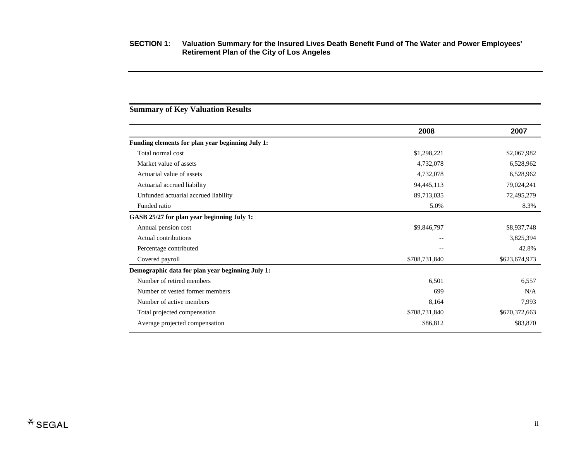# **2008 2007 Funding elements for plan year beginning July 1:**  Total normal cost \$2,067,982 \$2,067,982 Market value of assets 6,528,962 Actuarial value of assets 6,528,962 Actuarial accrued liability 34,445,113 79,024,241 Unfunded actuarial accrued liability 89,713,035 72,495,279 72,495,279 Funded ratio 8.3% 8.3% **GASB 25/27 for plan year beginning July 1:**  Annual pension cost \$9,846,797 \$8,937,748 Actual contributions 3,825,394 Percentage contributed 42.8% and 42.8% Covered payroll \$708,731,840 \$623,674,973 **Demographic data for plan year beginning July 1:**  Number of retired members 6,557 6,557 Number of vested former members 699  $\rm N/A$ Number of active members 8,164 7,993 Total projected compensation  $$708,731,840$   $$670,372,663$ Average projected compensation  $$86,812$   $$83,870$

# **Summary of Key Valuation Results**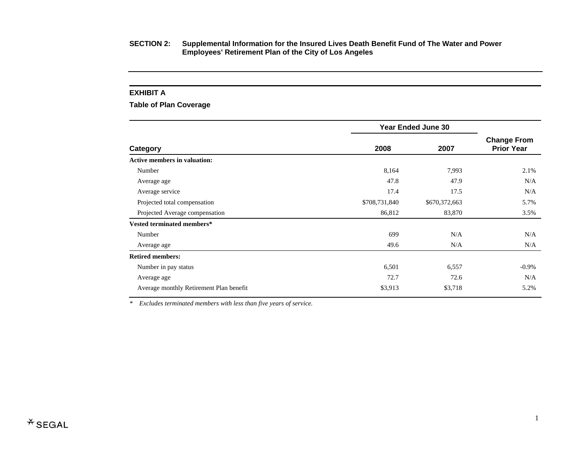### **EXHIBIT A**

# **Table of Plan Coverage**

|                                         | <b>Year Ended June 30</b> |               |                                         |
|-----------------------------------------|---------------------------|---------------|-----------------------------------------|
| Category                                | 2008                      | 2007          | <b>Change From</b><br><b>Prior Year</b> |
| <b>Active members in valuation:</b>     |                           |               |                                         |
| Number                                  | 8,164                     | 7,993         | 2.1%                                    |
| Average age                             | 47.8                      | 47.9          | N/A                                     |
| Average service                         | 17.4                      | 17.5          | N/A                                     |
| Projected total compensation            | \$708,731,840             | \$670,372,663 | 5.7%                                    |
| Projected Average compensation          | 86,812                    | 83,870        | 3.5%                                    |
| Vested terminated members*              |                           |               |                                         |
| Number                                  | 699                       | N/A           | N/A                                     |
| Average age                             | 49.6                      | N/A           | N/A                                     |
| <b>Retired members:</b>                 |                           |               |                                         |
| Number in pay status                    | 6,501                     | 6,557         | $-0.9\%$                                |
| Average age                             | 72.7                      | 72.6          | N/A                                     |
| Average monthly Retirement Plan benefit | \$3,913                   | \$3,718       | 5.2%                                    |

*\* Excludes terminated members with less than five years of service.*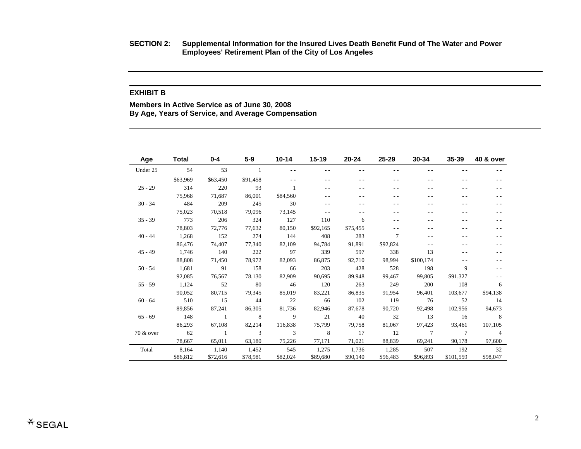**SECTION 2: Supplemental Information for the Insured Lives Death Benefit Fund of The Water and Power Employees' Retirement Plan of the City of Los Angeles** 

#### **EXHIBIT B**

**Members in Active Service as of June 30, 2008 By Age, Years of Service, and Average Compensation** 

| Age       | <b>Total</b> | 0-4            | $5-9$    | $10 - 14$ | $15 - 19$ | $20 - 24$ | 25-29    | 30-34          | 35-39           | <b>40 &amp; over</b> |
|-----------|--------------|----------------|----------|-----------|-----------|-----------|----------|----------------|-----------------|----------------------|
| Under 25  | 54           | 53             |          |           | $ -$      |           |          |                | - -             |                      |
|           | \$63,969     | \$63,450       | \$91,458 |           | $ -$      |           |          |                |                 |                      |
| $25 - 29$ | 314          | 220            | 93       |           | $ -$      | . .       |          |                |                 |                      |
|           | 75,968       | 71,687         | 86,001   | \$84,560  | $ -$      | . .       |          |                |                 |                      |
| $30 - 34$ | 484          | 209            | 245      | 30        | $ -$      |           |          |                |                 |                      |
|           | 75,023       | 70,518         | 79,096   | 73,145    | - -       |           |          |                |                 |                      |
| $35 - 39$ | 773          | 206            | 324      | 127       | 110       | 6         |          |                |                 |                      |
|           | 78,803       | 72,776         | 77,632   | 80,150    | \$92,165  | \$75,455  |          | - -            | - -             |                      |
| $40 - 44$ | 1,268        | 152            | 274      | 144       | 408       | 283       | 7        |                |                 |                      |
|           | 86,476       | 74,407         | 77,340   | 82,109    | 94,784    | 91,891    | \$92,824 |                | - -             |                      |
| $45 - 49$ | 1,746        | 140            | 222      | 97        | 339       | 597       | 338      | 13             |                 |                      |
|           | 88,808       | 71,450         | 78,972   | 82,093    | 86,875    | 92,710    | 98,994   | \$100,174      |                 |                      |
| $50 - 54$ | 1,681        | 91             | 158      | 66        | 203       | 428       | 528      | 198            | 9               |                      |
|           | 92,085       | 76,567         | 78,130   | 82,909    | 90,695    | 89,948    | 99,467   | 99,805         | \$91,327        |                      |
| $55 - 59$ | 1,124        | 52             | 80       | 46        | 120       | 263       | 249      | 200            | 108             | 6                    |
|           | 90,052       | 80,715         | 79,345   | 85,019    | 83,221    | 86,835    | 91,954   | 96,401         | 103,677         | \$94,138             |
| $60 - 64$ | 510          | 15             | 44       | 22        | 66        | 102       | 119      | 76             | 52              | 14                   |
|           | 89,856       | 87,241         | 86,305   | 81,736    | 82,946    | 87,678    | 90,720   | 92,498         | 102,956         | 94,673               |
| $65 - 69$ | 148          | $\overline{1}$ | 8        | 9         | 21        | 40        | 32       | 13             | 16              | 8                    |
|           | 86,293       | 67,108         | 82,214   | 116,838   | 75,799    | 79,758    | 81,067   | 97,423         | 93,461          | 107,105              |
| 70 & over | 62           | $\overline{1}$ | 3        | 3         | 8         | 17        | 12       | $\overline{7}$ | $7\phantom{.0}$ | $\overline{4}$       |
|           | 78,667       | 65,011         | 63,180   | 75,226    | 77,171    | 71,021    | 88,839   | 69,241         | 90,178          | 97,600               |
| Total     | 8,164        | 1,140          | 1,452    | 545       | 1,275     | 1,736     | 1,285    | 507            | 192             | 32                   |
|           | \$86,812     | \$72,616       | \$78,981 | \$82,024  | \$89,680  | \$90,140  | \$96,483 | \$96,893       | \$101,559       | \$98,047             |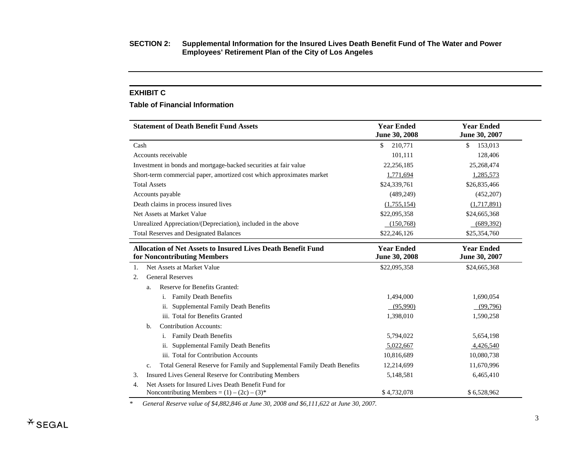#### **EXHIBIT C**

#### **Table of Financial Information**

| <b>Statement of Death Benefit Fund Assets</b>                                                               | <b>Year Ended</b><br>June 30, 2008 | <b>Year Ended</b><br>June 30, 2007 |
|-------------------------------------------------------------------------------------------------------------|------------------------------------|------------------------------------|
| Cash                                                                                                        | 210,771<br>\$                      | 153,013<br>\$                      |
| Accounts receivable                                                                                         | 101,111                            | 128,406                            |
| Investment in bonds and mortgage-backed securities at fair value                                            | 22,256,185                         | 25,268,474                         |
| Short-term commercial paper, amortized cost which approximates market                                       | 1,771,694                          | 1,285,573                          |
| <b>Total Assets</b>                                                                                         | \$24,339,761                       | \$26,835,466                       |
| Accounts payable                                                                                            | (489, 249)                         | (452, 207)                         |
| Death claims in process insured lives                                                                       | (1,755,154)                        | (1,717,891)                        |
| Net Assets at Market Value                                                                                  | \$22,095,358                       | \$24,665,368                       |
| Unrealized Appreciation/(Depreciation), included in the above                                               | (150, 768)                         | (689, 392)                         |
| <b>Total Reserves and Designated Balances</b>                                                               | \$22,246,126                       | \$25,354,760                       |
| <b>Allocation of Net Assets to Insured Lives Death Benefit Fund</b><br>for Noncontributing Members          | <b>Year Ended</b><br>June 30, 2008 | <b>Year Ended</b><br>June 30, 2007 |
| Net Assets at Market Value<br>1.                                                                            | \$22,095,358                       | \$24,665,368                       |
| <b>General Reserves</b><br>2.                                                                               |                                    |                                    |
| Reserve for Benefits Granted:<br>a.                                                                         |                                    |                                    |
| <b>Family Death Benefits</b><br>1.                                                                          | 1,494,000                          | 1,690,054                          |
| <b>Supplemental Family Death Benefits</b><br>11.                                                            | (95,990)                           | (99,796)                           |
| iii. Total for Benefits Granted                                                                             | 1,398,010                          | 1,590,258                          |
| <b>Contribution Accounts:</b><br>b.                                                                         |                                    |                                    |
| <b>Family Death Benefits</b><br>1.                                                                          | 5,794,022                          | 5,654,198                          |
| <b>Supplemental Family Death Benefits</b><br>11.                                                            | 5,022,667                          | 4,426,540                          |
| iii. Total for Contribution Accounts                                                                        | 10,816,689                         | 10,080,738                         |
| Total General Reserve for Family and Supplemental Family Death Benefits<br>c.                               | 12,214,699                         | 11,670,996                         |
| Insured Lives General Reserve for Contributing Members<br>3.                                                | 5,148,581                          | 6,465,410                          |
| Net Assets for Insured Lives Death Benefit Fund for<br>4.<br>Noncontributing Members = $(1) - (2c) - (3)^*$ | \$4,732,078                        | \$6,528,962                        |

*\* General Reserve value of \$4,882,846 at June 30, 2008 and \$6,111,622 at June 30, 2007.*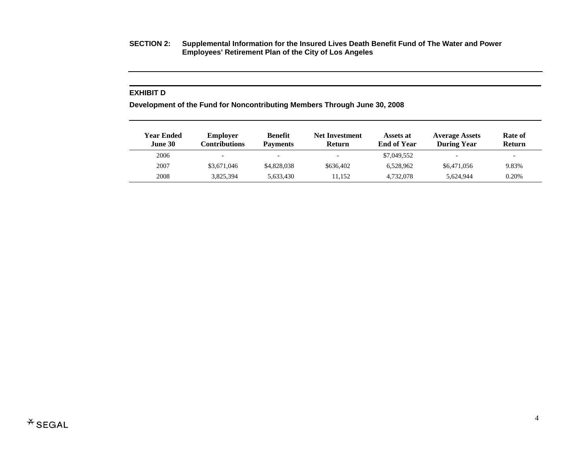**SECTION 2: Supplemental Information for the Insured Lives Death Benefit Fund of The Water and Power Employees' Retirement Plan of the City of Los Angeles** 

### **EXHIBIT D**

**Development of the Fund for Noncontributing Members Through June 30, 2008** 

| Year Ended<br>June 30 | <b>Employer</b><br>Contributions | <b>Benefit</b><br><b>Payments</b> | <b>Net Investment</b><br><b>Return</b> | Assets at<br><b>End of Year</b> | <b>Average Assets</b><br><b>During Year</b> | Rate of<br><b>Return</b> |  |
|-----------------------|----------------------------------|-----------------------------------|----------------------------------------|---------------------------------|---------------------------------------------|--------------------------|--|
| 2006                  | $\overline{\phantom{0}}$         | $\overline{\phantom{0}}$          |                                        | \$7,049,552                     | $\overline{\phantom{0}}$                    | $\overline{\phantom{0}}$ |  |
| 2007                  | \$3,671,046                      | \$4,828,038                       | \$636,402                              | 6.528.962                       | \$6,471,056                                 | 9.83%                    |  |
| 2008                  | 3,825,394                        | 5,633,430                         | 11.152                                 | 4.732.078                       | 5.624.944                                   | 0.20%                    |  |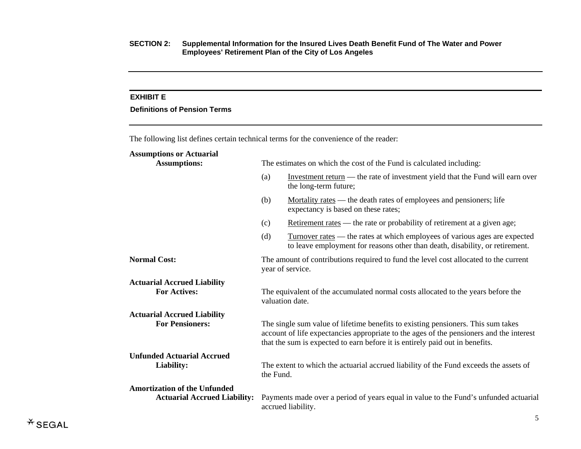# **EXHIBIT E**

# **Definitions of Pension Terms**

The following list defines certain technical terms for the convenience of the reader: **Assumptions or Actuarial** 

| 119901111pt10119 01 11ctuul kui                           |                                                                      |                                                                                                                                                                                                                                                             |  |  |  |
|-----------------------------------------------------------|----------------------------------------------------------------------|-------------------------------------------------------------------------------------------------------------------------------------------------------------------------------------------------------------------------------------------------------------|--|--|--|
| <b>Assumptions:</b>                                       | The estimates on which the cost of the Fund is calculated including: |                                                                                                                                                                                                                                                             |  |  |  |
|                                                           | (a)                                                                  | Investment return — the rate of investment yield that the Fund will earn over<br>the long-term future;                                                                                                                                                      |  |  |  |
|                                                           | (b)                                                                  | Mortality rates — the death rates of employees and pensioners; life<br>expectancy is based on these rates;                                                                                                                                                  |  |  |  |
|                                                           | (c)                                                                  | Retirement rates — the rate or probability of retirement at a given age;                                                                                                                                                                                    |  |  |  |
|                                                           | (d)                                                                  | Turnover rates — the rates at which employees of various ages are expected<br>to leave employment for reasons other than death, disability, or retirement.                                                                                                  |  |  |  |
| <b>Normal Cost:</b>                                       |                                                                      | The amount of contributions required to fund the level cost allocated to the current<br>year of service.                                                                                                                                                    |  |  |  |
| <b>Actuarial Accrued Liability</b><br><b>For Actives:</b> |                                                                      | The equivalent of the accumulated normal costs allocated to the years before the<br>valuation date.                                                                                                                                                         |  |  |  |
| <b>Actuarial Accrued Liability</b>                        |                                                                      |                                                                                                                                                                                                                                                             |  |  |  |
| <b>For Pensioners:</b>                                    |                                                                      | The single sum value of lifetime benefits to existing pensioners. This sum takes<br>account of life expectancies appropriate to the ages of the pensioners and the interest<br>that the sum is expected to earn before it is entirely paid out in benefits. |  |  |  |
| <b>Unfunded Actuarial Accrued</b>                         |                                                                      |                                                                                                                                                                                                                                                             |  |  |  |
| Liability:                                                | the Fund.                                                            | The extent to which the actuarial accrued liability of the Fund exceeds the assets of                                                                                                                                                                       |  |  |  |
| <b>Amortization of the Unfunded</b>                       |                                                                      |                                                                                                                                                                                                                                                             |  |  |  |
| <b>Actuarial Accrued Liability:</b>                       |                                                                      | Payments made over a period of years equal in value to the Fund's unfunded actuarial<br>accrued liability.                                                                                                                                                  |  |  |  |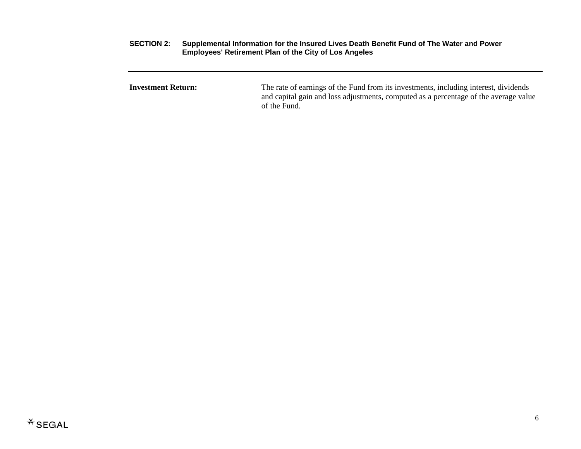**Investment Return:** The rate of earnings of the Fund from its investments, including interest, dividends and capital gain and loss adjustments, computed as a percentage of the average value of the Fund.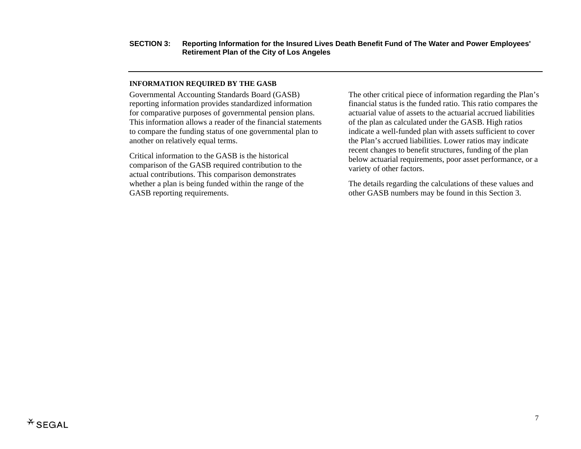## **INFORMATION REQUIRED BY THE GASB**

Governmental Accounting Standards Board (GASB) reporting information provides standardized information for comparative purposes of governmental pension plans. This information allows a reader of the financial statements to compare the funding status of one governmental plan to another on relatively equal terms.

Critical information to the GASB is the historical comparison of the GASB required contribution to the actual contributions. This comparison demonstrates whether a plan is being funded within the range of the GASB reporting requirements.

The other critical piece of information regarding the Plan's financial status is the funded ratio. This ratio compares the actuarial value of assets to the actuarial accrued liabilities of the plan as calculated under the GASB. High ratios indicate a well-funded plan with assets sufficient to cover the Plan's accrued liabilities. Lower ratios may indicate recent changes to benefit structures, funding of the plan below actuarial requirements, poor asset performance, or a variety of other factors.

The details regarding the calculations of these values and other GASB numbers may be found in this Section 3.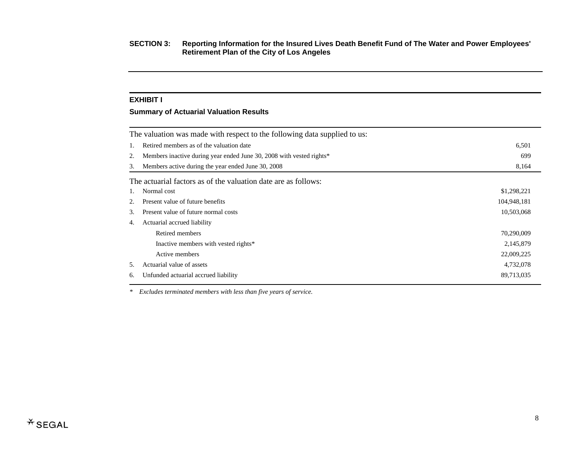## **EXHIBIT I**

# **Summary of Actuarial Valuation Results**

|    | The valuation was made with respect to the following data supplied to us: |             |  |  |  |  |  |
|----|---------------------------------------------------------------------------|-------------|--|--|--|--|--|
| 1. | Retired members as of the valuation date<br>6,501                         |             |  |  |  |  |  |
| 2. | Members inactive during year ended June 30, 2008 with vested rights*      | 699         |  |  |  |  |  |
| 3. | Members active during the year ended June 30, 2008                        | 8,164       |  |  |  |  |  |
|    | The actuarial factors as of the valuation date are as follows:            |             |  |  |  |  |  |
| 1. | Normal cost                                                               | \$1,298,221 |  |  |  |  |  |
| 2. | Present value of future benefits                                          | 104,948,181 |  |  |  |  |  |
| 3. | Present value of future normal costs                                      | 10,503,068  |  |  |  |  |  |
| 4. | Actuarial accrued liability                                               |             |  |  |  |  |  |
|    | Retired members                                                           | 70,290,009  |  |  |  |  |  |
|    | Inactive members with vested rights*                                      | 2,145,879   |  |  |  |  |  |
|    | Active members                                                            | 22,009,225  |  |  |  |  |  |
| 5. | Actuarial value of assets                                                 | 4,732,078   |  |  |  |  |  |
| 6. | Unfunded actuarial accrued liability                                      | 89,713,035  |  |  |  |  |  |

*\* Excludes terminated members with less than five years of service.*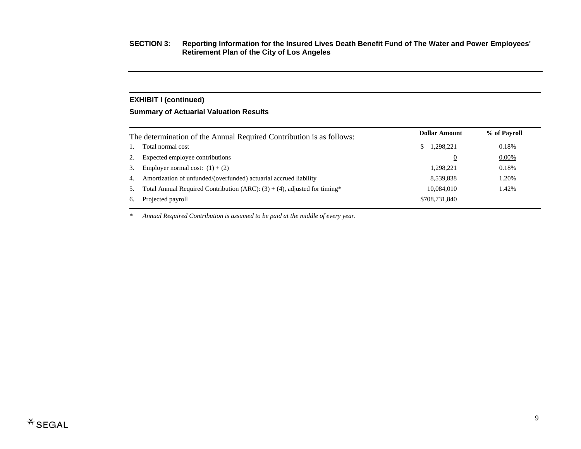# **EXHIBIT I (continued)**

# **Summary of Actuarial Valuation Results**

|    | The determination of the Annual Required Contribution is as follows:         | <b>Dollar Amount</b> | % of Payroll |
|----|------------------------------------------------------------------------------|----------------------|--------------|
|    | Total normal cost                                                            | 1,298,221<br>S.      | 0.18%        |
|    | Expected employee contributions                                              | $\mathbf{0}$         | $0.00\%$     |
| 3. | Employer normal cost: $(1) + (2)$                                            | 1,298,221            | 0.18%        |
| 4. | Amortization of unfunded/(overfunded) actuarial accrued liability            | 8,539,838            | 1.20%        |
| 5. | Total Annual Required Contribution (ARC): $(3) + (4)$ , adjusted for timing* | 10.084.010           | 1.42%        |
| 6. | Projected payroll                                                            | \$708,731,840        |              |
|    |                                                                              |                      |              |

*\* Annual Required Contribution is assumed to be paid at the middle of every year.*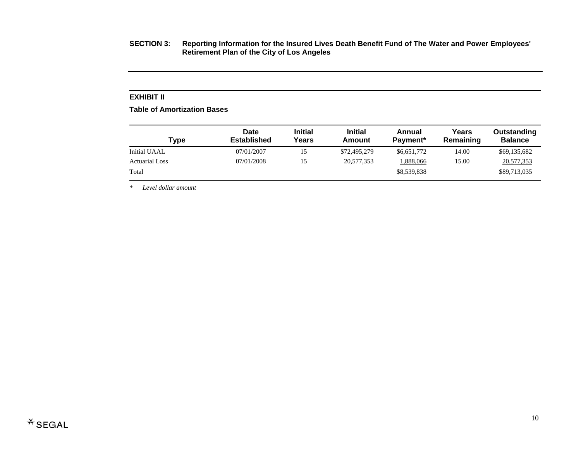## **EXHIBIT II**

**Table of Amortization Bases** 

| <b>Type</b>           | Date<br><b>Established</b> | <b>Initial</b><br>Years | <b>Initial</b><br>Amount | Annual<br>Payment* | Years<br>Remaining | Outstanding<br><b>Balance</b> |
|-----------------------|----------------------------|-------------------------|--------------------------|--------------------|--------------------|-------------------------------|
| Initial UAAL          | 07/01/2007                 | 15                      | \$72,495,279             | \$6,651,772        | 14.00              | \$69,135,682                  |
| <b>Actuarial Loss</b> | 07/01/2008                 | 15                      | 20,577,353               | 1,888,066          | 15.00              | 20,577,353                    |
| Total                 |                            |                         |                          | \$8,539,838        |                    | \$89,713,035                  |

*\* Level dollar amount*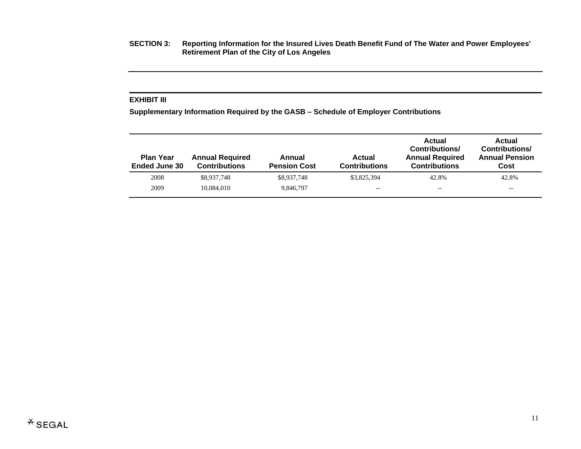### **EXHIBIT III**

**Supplementary Information Required by the GASB – Schedule of Employer Contributions** 

| <b>Plan Year</b><br><b>Ended June 30</b> | <b>Annual Required</b><br><b>Contributions</b> | Annual<br><b>Pension Cost</b> | Actual<br><b>Contributions</b> | Actual<br><b>Contributions/</b><br><b>Annual Required</b><br><b>Contributions</b> | Actual<br><b>Contributions/</b><br><b>Annual Pension</b><br>Cost |
|------------------------------------------|------------------------------------------------|-------------------------------|--------------------------------|-----------------------------------------------------------------------------------|------------------------------------------------------------------|
| 2008                                     | \$8,937,748                                    | \$8,937,748                   | \$3,825,394                    | 42.8%                                                                             | 42.8%                                                            |
| 2009                                     | 10.084.010                                     | 9.846.797                     | $- -$                          | $- -$                                                                             | --                                                               |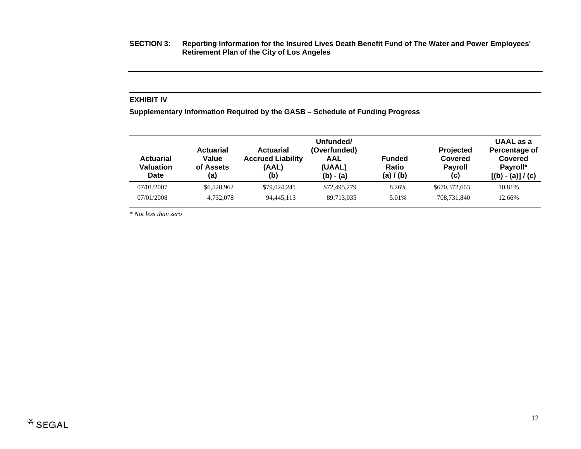### **EXHIBIT IV**

**Supplementary Information Required by the GASB – Schedule of Funding Progress** 

| <b>Actuarial</b><br><b>Valuation</b><br>Date | <b>Actuarial</b><br>Value<br>of Assets<br>(a) | <b>Actuarial</b><br><b>Accrued Liability</b><br>(AAL)<br>(b) | Unfunded/<br>(Overfunded)<br>AAL<br>(UAAL)<br>$(b) - (a)$ | <b>Funded</b><br>Ratio<br>(a) / (b) | <b>Projected</b><br>Covered<br><b>Payroll</b><br>(c) | UAAL as a<br>Percentage of<br><b>Covered</b><br>Payroll*<br>$[(b) - (a)] / (c)$ |
|----------------------------------------------|-----------------------------------------------|--------------------------------------------------------------|-----------------------------------------------------------|-------------------------------------|------------------------------------------------------|---------------------------------------------------------------------------------|
| 07/01/2007                                   | \$6,528,962                                   | \$79,024,241                                                 | \$72,495,279                                              | 8.26%                               | \$670,372,663                                        | 10.81%                                                                          |
| 07/01/2008                                   | 4,732,078                                     | 94,445,113                                                   | 89,713,035                                                | 5.01%                               | 708.731.840                                          | 12.66%                                                                          |

*\* Not less than zero*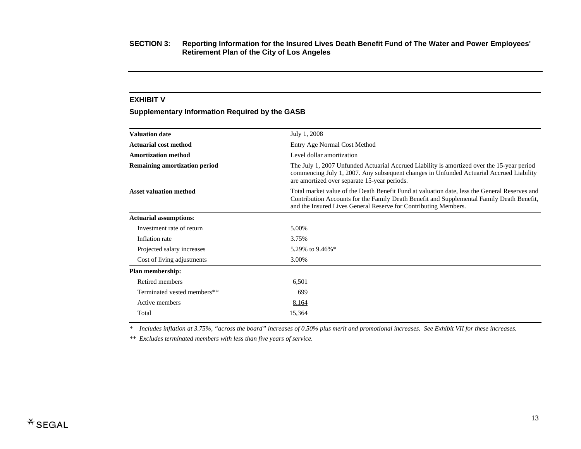#### **EXHIBIT V**

# **Supplementary Information Required by the GASB**

| <b>Valuation date</b>                                                                                                                                                                                                                                                                          | July 1, 2008                                                                                                                                                                                                                          |
|------------------------------------------------------------------------------------------------------------------------------------------------------------------------------------------------------------------------------------------------------------------------------------------------|---------------------------------------------------------------------------------------------------------------------------------------------------------------------------------------------------------------------------------------|
| <b>Actuarial cost method</b>                                                                                                                                                                                                                                                                   | Entry Age Normal Cost Method                                                                                                                                                                                                          |
| <b>Amortization method</b>                                                                                                                                                                                                                                                                     | Level dollar amortization                                                                                                                                                                                                             |
| <b>Remaining amortization period</b>                                                                                                                                                                                                                                                           | The July 1, 2007 Unfunded Actuarial Accrued Liability is amortized over the 15-year period<br>commencing July 1, 2007. Any subsequent changes in Unfunded Actuarial Accrued Liability<br>are amortized over separate 15-year periods. |
| <b>Asset valuation method</b><br>Total market value of the Death Benefit Fund at valuation date, less the General Reserves and<br>Contribution Accounts for the Family Death Benefit and Supplemental Family Death Benefit,<br>and the Insured Lives General Reserve for Contributing Members. |                                                                                                                                                                                                                                       |
| <b>Actuarial assumptions:</b>                                                                                                                                                                                                                                                                  |                                                                                                                                                                                                                                       |
| Investment rate of return                                                                                                                                                                                                                                                                      | 5.00%                                                                                                                                                                                                                                 |
| Inflation rate                                                                                                                                                                                                                                                                                 | 3.75%                                                                                                                                                                                                                                 |
| Projected salary increases                                                                                                                                                                                                                                                                     | 5.29% to 9.46%*                                                                                                                                                                                                                       |
| Cost of living adjustments                                                                                                                                                                                                                                                                     | 3.00%                                                                                                                                                                                                                                 |
| Plan membership:                                                                                                                                                                                                                                                                               |                                                                                                                                                                                                                                       |
| Retired members                                                                                                                                                                                                                                                                                | 6,501                                                                                                                                                                                                                                 |
| Terminated vested members**                                                                                                                                                                                                                                                                    | 699                                                                                                                                                                                                                                   |
| Active members                                                                                                                                                                                                                                                                                 | 8,164                                                                                                                                                                                                                                 |
| Total                                                                                                                                                                                                                                                                                          | 15,364                                                                                                                                                                                                                                |
|                                                                                                                                                                                                                                                                                                |                                                                                                                                                                                                                                       |

*\* Includes inflation at 3.75%, "across the board" increases of 0.50% plus merit and promotional increases. See Exhibit VII for these increases.* 

*\*\* Excludes terminated members with less than five years of service.*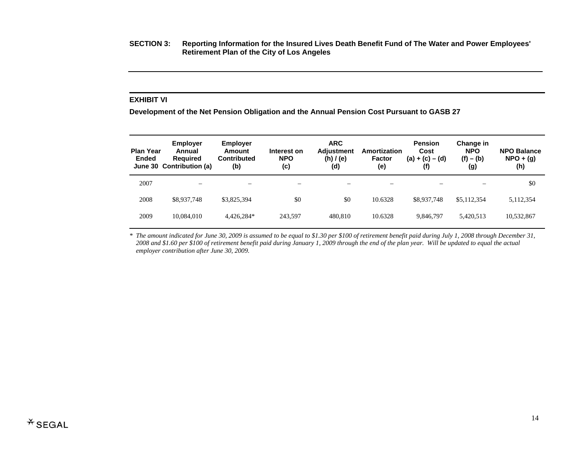## **EXHIBIT VI**

**Development of the Net Pension Obligation and the Annual Pension Cost Pursuant to GASB 27** 

| <b>Plan Year</b><br><b>Ended</b> | <b>Employer</b><br>Annual<br><b>Required</b><br>June 30 Contribution (a) | <b>Employer</b><br>Amount<br><b>Contributed</b><br>(b) | Interest on<br><b>NPO</b><br>(c) | <b>ARC</b><br><b>Adjustment</b><br>(h)/(e)<br>(d) | Amortization<br><b>Factor</b><br>(e) | <b>Pension</b><br>Cost<br>$(a) + (c) - (d)$<br>(f) | Change in<br><b>NPO</b><br>$(f) - (b)$<br>(g) | <b>NPO Balance</b><br>$NPO + (g)$<br>(h) |
|----------------------------------|--------------------------------------------------------------------------|--------------------------------------------------------|----------------------------------|---------------------------------------------------|--------------------------------------|----------------------------------------------------|-----------------------------------------------|------------------------------------------|
| 2007                             | $\overline{\phantom{0}}$                                                 |                                                        |                                  |                                                   | $\overline{\phantom{0}}$             |                                                    |                                               | \$0                                      |
| 2008                             | \$8,937,748                                                              | \$3,825,394                                            | \$0                              | \$0                                               | 10.6328                              | \$8,937,748                                        | \$5,112,354                                   | 5,112,354                                |
| 2009                             | 10,084,010                                                               | 4.426.284*                                             | 243,597                          | 480.810                                           | 10.6328                              | 9.846.797                                          | 5,420,513                                     | 10,532,867                               |

*\* The amount indicated for June 30, 2009 is assumed to be equal to \$1.30 per \$100 of retirement benefit paid during July 1, 2008 through December 31, 2008 and \$1.60 per \$100 of retirement benefit paid during January 1, 2009 through the end of the plan year. Will be updated to equal the actual employer contribution after June 30, 2009.*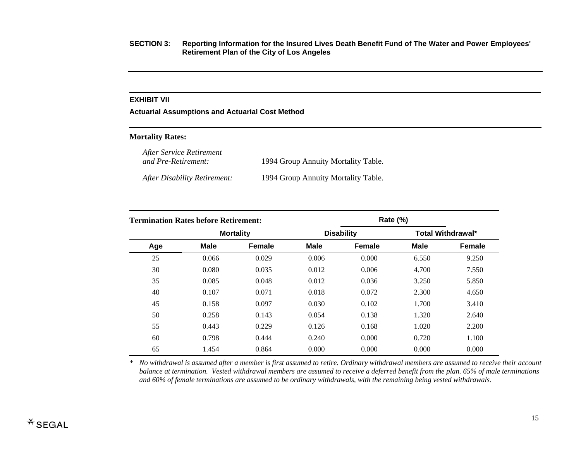# **EXHIBIT VII**

**Actuarial Assumptions and Actuarial Cost Method** 

## **Mortality Rates:**

*After Service Retirement and Pre-Retirement:* 1994 Group Annuity Mortality Table.

*After Disability Retirement:* 1994 Group Annuity Mortality Table.

| <b>Termination Rates before Retirement:</b> |                  |               |             |                   |             |                          |
|---------------------------------------------|------------------|---------------|-------------|-------------------|-------------|--------------------------|
|                                             | <b>Mortality</b> |               |             | <b>Disability</b> |             | <b>Total Withdrawal*</b> |
| Age                                         | <b>Male</b>      | <b>Female</b> | <b>Male</b> | <b>Female</b>     | <b>Male</b> | <b>Female</b>            |
| 25                                          | 0.066            | 0.029         | 0.006       | 0.000             | 6.550       | 9.250                    |
| 30                                          | 0.080            | 0.035         | 0.012       | 0.006             | 4.700       | 7.550                    |
| 35                                          | 0.085            | 0.048         | 0.012       | 0.036             | 3.250       | 5.850                    |
| 40                                          | 0.107            | 0.071         | 0.018       | 0.072             | 2.300       | 4.650                    |
| 45                                          | 0.158            | 0.097         | 0.030       | 0.102             | 1.700       | 3.410                    |
| 50                                          | 0.258            | 0.143         | 0.054       | 0.138             | 1.320       | 2.640                    |
| 55                                          | 0.443            | 0.229         | 0.126       | 0.168             | 1.020       | 2.200                    |
| 60                                          | 0.798            | 0.444         | 0.240       | 0.000             | 0.720       | 1.100                    |
| 65                                          | 1.454            | 0.864         | 0.000       | 0.000             | 0.000       | 0.000                    |

*\* No withdrawal is assumed after a member is first assumed to retire. Ordinary withdrawal members are assumed to receive their account balance at termination. Vested withdrawal members are assumed to receive a deferred benefit from the plan. 65% of male terminations and 60% of female terminations are assumed to be ordinary withdrawals, with the remaining being vested withdrawals.*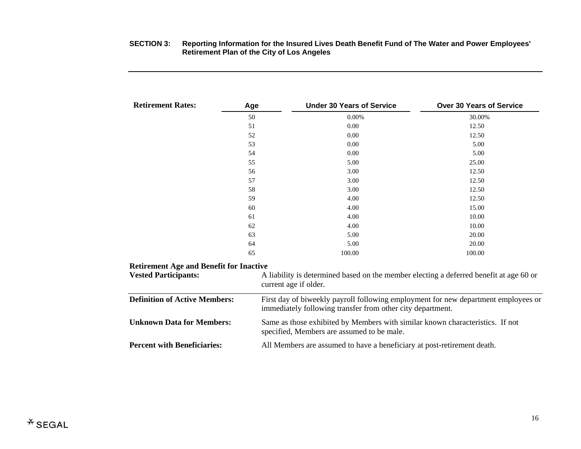| <b>Retirement Rates:</b>                       | Age | <b>Under 30 Years of Service</b>                                                                                                                 | <b>Over 30 Years of Service</b> |
|------------------------------------------------|-----|--------------------------------------------------------------------------------------------------------------------------------------------------|---------------------------------|
|                                                | 50  | 0.00%                                                                                                                                            | 30.00%                          |
|                                                | 51  | 0.00                                                                                                                                             | 12.50                           |
|                                                | 52  | 0.00                                                                                                                                             | 12.50                           |
|                                                | 53  | 0.00                                                                                                                                             | 5.00                            |
|                                                | 54  | 0.00                                                                                                                                             | 5.00                            |
|                                                | 55  | 5.00                                                                                                                                             | 25.00                           |
|                                                | 56  | 3.00                                                                                                                                             | 12.50                           |
|                                                | 57  | 3.00                                                                                                                                             | 12.50                           |
|                                                | 58  | 3.00                                                                                                                                             | 12.50                           |
|                                                | 59  | 4.00                                                                                                                                             | 12.50                           |
|                                                | 60  | 4.00                                                                                                                                             | 15.00                           |
|                                                | 61  | 4.00                                                                                                                                             | 10.00                           |
|                                                | 62  | 4.00                                                                                                                                             | 10.00                           |
|                                                | 63  | 5.00                                                                                                                                             | 20.00                           |
|                                                | 64  | 5.00                                                                                                                                             | 20.00                           |
|                                                | 65  | 100.00                                                                                                                                           | 100.00                          |
| <b>Retirement Age and Benefit for Inactive</b> |     |                                                                                                                                                  |                                 |
| <b>Vested Participants:</b>                    |     | A liability is determined based on the member electing a deferred benefit at age 60 or<br>current age if older.                                  |                                 |
| <b>Definition of Active Members:</b>           |     | First day of biweekly payroll following employment for new department employees of<br>immediately following transfer from other city department. |                                 |

| <b>Vested Participants:</b>          | A liability is determined based on the member electing a deferred benefit at age 60 or<br>current age if older.                                  |
|--------------------------------------|--------------------------------------------------------------------------------------------------------------------------------------------------|
| <b>Definition of Active Members:</b> | First day of biweekly payroll following employment for new department employees or<br>immediately following transfer from other city department. |
| <b>Unknown Data for Members:</b>     | Same as those exhibited by Members with similar known characteristics. If not<br>specified, Members are assumed to be male.                      |
| <b>Percent with Beneficiaries:</b>   | All Members are assumed to have a beneficiary at post-retirement death.                                                                          |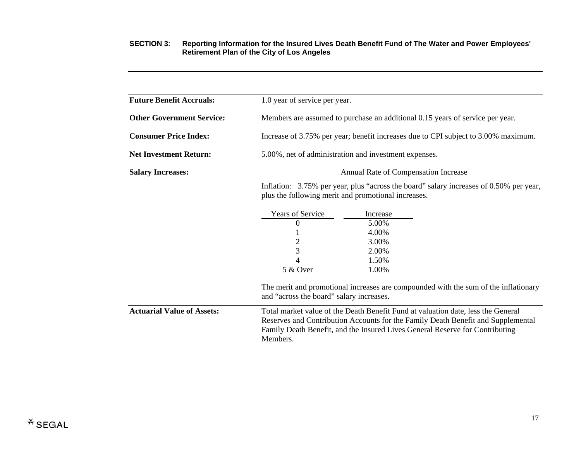| <b>Future Benefit Accruals:</b>   | 1.0 year of service per year.                                                                                                                                                                                                                                    |          |  |  |
|-----------------------------------|------------------------------------------------------------------------------------------------------------------------------------------------------------------------------------------------------------------------------------------------------------------|----------|--|--|
| <b>Other Government Service:</b>  | Members are assumed to purchase an additional 0.15 years of service per year.                                                                                                                                                                                    |          |  |  |
| <b>Consumer Price Index:</b>      | Increase of 3.75% per year; benefit increases due to CPI subject to 3.00% maximum.                                                                                                                                                                               |          |  |  |
| <b>Net Investment Return:</b>     | 5.00%, net of administration and investment expenses.                                                                                                                                                                                                            |          |  |  |
| <b>Salary Increases:</b>          | <b>Annual Rate of Compensation Increase</b>                                                                                                                                                                                                                      |          |  |  |
|                                   | Inflation: 3.75% per year, plus "across the board" salary increases of 0.50% per year,<br>plus the following merit and promotional increases.                                                                                                                    |          |  |  |
|                                   | <b>Years of Service</b>                                                                                                                                                                                                                                          | Increase |  |  |
|                                   | 0                                                                                                                                                                                                                                                                | 5.00%    |  |  |
|                                   |                                                                                                                                                                                                                                                                  | 4.00%    |  |  |
|                                   | $\overline{c}$                                                                                                                                                                                                                                                   | 3.00%    |  |  |
|                                   | 3                                                                                                                                                                                                                                                                | 2.00%    |  |  |
|                                   | 4                                                                                                                                                                                                                                                                | 1.50%    |  |  |
|                                   | 5 & Over                                                                                                                                                                                                                                                         | 1.00%    |  |  |
|                                   | The merit and promotional increases are compounded with the sum of the inflationary<br>and "across the board" salary increases.                                                                                                                                  |          |  |  |
| <b>Actuarial Value of Assets:</b> | Total market value of the Death Benefit Fund at valuation date, less the General<br>Reserves and Contribution Accounts for the Family Death Benefit and Supplemental<br>Family Death Benefit, and the Insured Lives General Reserve for Contributing<br>Members. |          |  |  |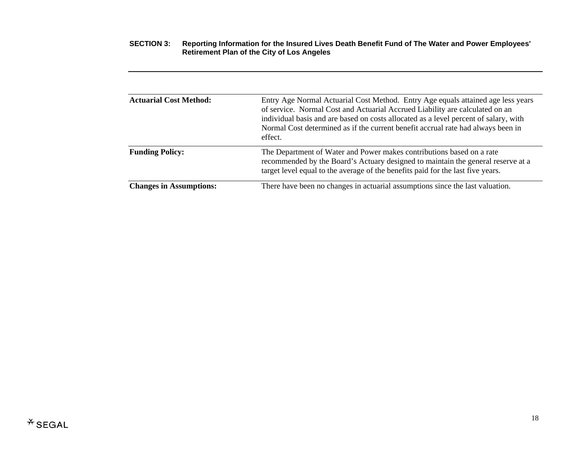| <b>Actuarial Cost Method:</b>  | Entry Age Normal Actuarial Cost Method. Entry Age equals attained age less years<br>of service. Normal Cost and Actuarial Accrued Liability are calculated on an<br>individual basis and are based on costs allocated as a level percent of salary, with<br>Normal Cost determined as if the current benefit accrual rate had always been in<br>effect. |
|--------------------------------|---------------------------------------------------------------------------------------------------------------------------------------------------------------------------------------------------------------------------------------------------------------------------------------------------------------------------------------------------------|
| <b>Funding Policy:</b>         | The Department of Water and Power makes contributions based on a rate<br>recommended by the Board's Actuary designed to maintain the general reserve at a<br>target level equal to the average of the benefits paid for the last five years.                                                                                                            |
| <b>Changes in Assumptions:</b> | There have been no changes in actuarial assumptions since the last valuation.                                                                                                                                                                                                                                                                           |